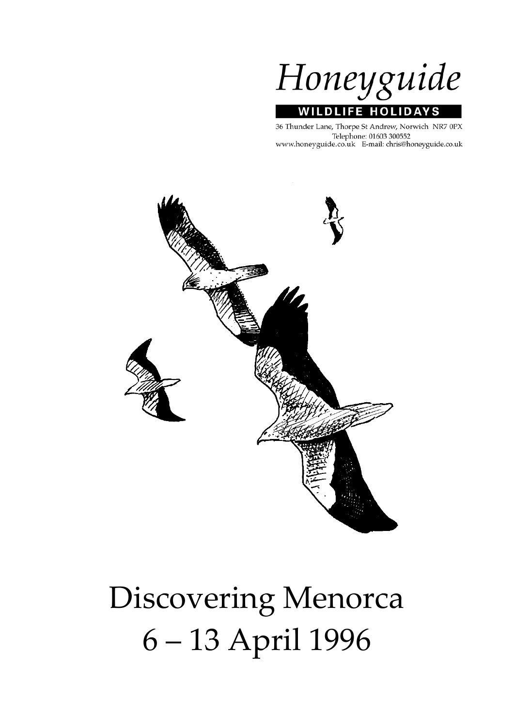

# **WILDLIFE HOLIDAYS**

36 Thunder Lane, Thorpe St Andrew, Norwich NR7 0PX Telephone: 01603 300552 www.honeyguide.co.uk E-mail: chris@honeyguide.co.uk



# Discovering Menorca 6 – 13 April 1996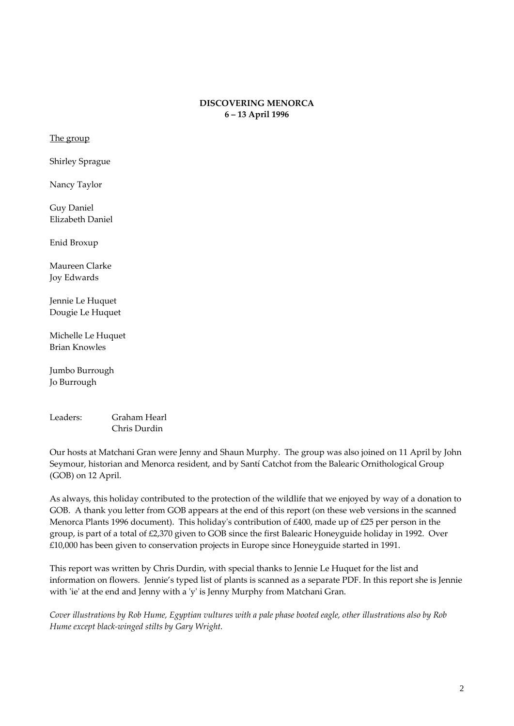# **DISCOVERING MENORCA 6 – 13 April 1996**

The group

Shirley Sprague

Nancy Taylor

Guy Daniel Elizabeth Daniel

Enid Broxup

Maureen Clarke Joy Edwards

Jennie Le Huquet Dougie Le Huquet

Michelle Le Huquet Brian Knowles

Jumbo Burrough Jo Burrough

Leaders: Graham Hearl Chris Durdin

Our hosts at Matchani Gran were Jenny and Shaun Murphy. The group was also joined on 11 April by John Seymour, historian and Menorca resident, and by Santí Catchot from the Balearic Ornithological Group (GOB) on 12 April.

As always, this holiday contributed to the protection of the wildlife that we enjoyed by way of a donation to GOB. A thank you letter from GOB appears at the end of this report (on these web versions in the scanned Menorca Plants 1996 document). This holiday's contribution of £400, made up of £25 per person in the group, is part of a total of £2,370 given to GOB since the first Balearic Honeyguide holiday in 1992. Over £10,000 has been given to conservation projects in Europe since Honeyguide started in 1991.

This report was written by Chris Durdin, with special thanks to Jennie Le Huquet for the list and information on flowers. Jennie's typed list of plants is scanned as a separate PDF. In this report she is Jennie with 'ie' at the end and Jenny with a 'y' is Jenny Murphy from Matchani Gran.

Cover illustrations by Rob Hume, Egyptian vultures with a pale phase booted eagle, other illustrations also by Rob *Hume except black‐winged stilts by Gary Wright.*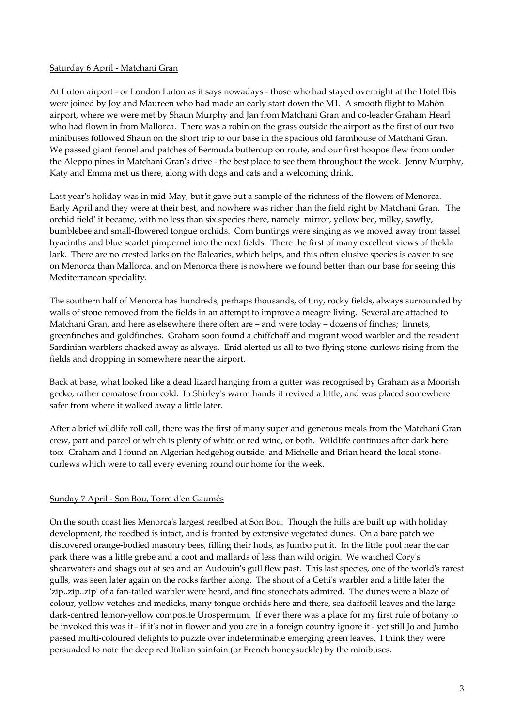#### Saturday 6 April ‐ Matchani Gran

At Luton airport ‐ or London Luton as it says nowadays ‐ those who had stayed overnight at the Hotel Ibis were joined by Joy and Maureen who had made an early start down the M1. A smooth flight to Mahón airport, where we were met by Shaun Murphy and Jan from Matchani Gran and co-leader Graham Hearl who had flown in from Mallorca. There was a robin on the grass outside the airport as the first of our two minibuses followed Shaun on the short trip to our base in the spacious old farmhouse of Matchani Gran. We passed giant fennel and patches of Bermuda buttercup on route, and our first hoopoe flew from under the Aleppo pines in Matchani Gran's drive - the best place to see them throughout the week. Jenny Murphy, Katy and Emma met us there, along with dogs and cats and a welcoming drink.

Last year's holiday was in mid-May, but it gave but a sample of the richness of the flowers of Menorca. Early April and they were at their best, and nowhere was richer than the field right by Matchani Gran. The orchid field' it became, with no less than six species there, namely mirror, yellow bee, milky, sawfly, bumblebee and small‐flowered tongue orchids. Corn buntings were singing as we moved away from tassel hyacinths and blue scarlet pimpernel into the next fields. There the first of many excellent views of thekla lark. There are no crested larks on the Balearics, which helps, and this often elusive species is easier to see on Menorca than Mallorca, and on Menorca there is nowhere we found better than our base for seeing this Mediterranean speciality.

The southern half of Menorca has hundreds, perhaps thousands, of tiny, rocky fields, always surrounded by walls of stone removed from the fields in an attempt to improve a meagre living. Several are attached to Matchani Gran, and here as elsewhere there often are – and were today – dozens of finches; linnets, greenfinches and goldfinches. Graham soon found a chiffchaff and migrant wood warbler and the resident Sardinian warblers chacked away as always. Enid alerted us all to two flying stone‐curlews rising from the fields and dropping in somewhere near the airport.

Back at base, what looked like a dead lizard hanging from a gutter was recognised by Graham as a Moorish gecko, rather comatose from cold. In Shirleyʹs warm hands it revived a little, and was placed somewhere safer from where it walked away a little later.

After a brief wildlife roll call, there was the first of many super and generous meals from the Matchani Gran crew, part and parcel of which is plenty of white or red wine, or both. Wildlife continues after dark here too: Graham and I found an Algerian hedgehog outside, and Michelle and Brian heard the local stonecurlews which were to call every evening round our home for the week.

# Sunday 7 April ‐ Son Bou, Torre dʹen Gaumés

On the south coast lies Menorcaʹs largest reedbed at Son Bou. Though the hills are built up with holiday development, the reedbed is intact, and is fronted by extensive vegetated dunes. On a bare patch we discovered orange‐bodied masonry bees, filling their hods, as Jumbo put it. In the little pool near the car park there was a little grebe and a coot and mallards of less than wild origin. We watched Coryʹs shearwaters and shags out at sea and an Audouin's gull flew past. This last species, one of the world's rarest gulls, was seen later again on the rocks farther along. The shout of a Cettiʹs warbler and a little later the 'zip..zip..zip' of a fan-tailed warbler were heard, and fine stonechats admired. The dunes were a blaze of colour, yellow vetches and medicks, many tongue orchids here and there, sea daffodil leaves and the large dark-centred lemon-yellow composite Urospermum. If ever there was a place for my first rule of botany to be invoked this was it - if it's not in flower and you are in a foreign country ignore it - yet still Jo and Jumbo passed multi‐coloured delights to puzzle over indeterminable emerging green leaves. I think they were persuaded to note the deep red Italian sainfoin (or French honeysuckle) by the minibuses.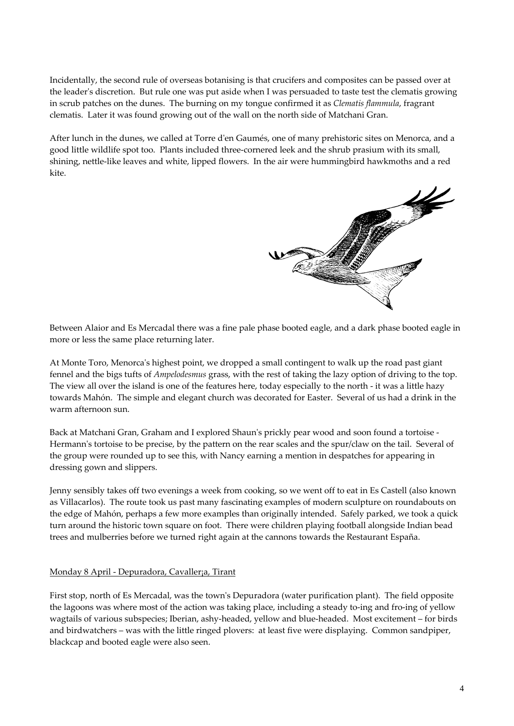Incidentally, the second rule of overseas botanising is that crucifers and composites can be passed over at the leaderʹs discretion. But rule one was put aside when I was persuaded to taste test the clematis growing in scrub patches on the dunes. The burning on my tongue confirmed it as *Clematis flammula*, fragrant clematis. Later it was found growing out of the wall on the north side of Matchani Gran.

After lunch in the dunes, we called at Torre d'en Gaumés, one of many prehistoric sites on Menorca, and a good little wildlife spot too. Plants included three‐cornered leek and the shrub prasium with its small, shining, nettle‐like leaves and white, lipped flowers. In the air were hummingbird hawkmoths and a red kite.



Between Alaior and Es Mercadal there was a fine pale phase booted eagle, and a dark phase booted eagle in more or less the same place returning later.

At Monte Toro, Menorcaʹs highest point, we dropped a small contingent to walk up the road past giant fennel and the bigs tufts of *Ampelodesmus* grass, with the rest of taking the lazy option of driving to the top. The view all over the island is one of the features here, today especially to the north - it was a little hazy towards Mahón. The simple and elegant church was decorated for Easter. Several of us had a drink in the warm afternoon sun.

Back at Matchani Gran, Graham and I explored Shaun's prickly pear wood and soon found a tortoise -Hermann's tortoise to be precise, by the pattern on the rear scales and the spur/claw on the tail. Several of the group were rounded up to see this, with Nancy earning a mention in despatches for appearing in dressing gown and slippers.

Jenny sensibly takes off two evenings a week from cooking, so we went off to eat in Es Castell (also known as Villacarlos). The route took us past many fascinating examples of modern sculpture on roundabouts on the edge of Mahón, perhaps a few more examples than originally intended. Safely parked, we took a quick turn around the historic town square on foot. There were children playing football alongside Indian bead trees and mulberries before we turned right again at the cannons towards the Restaurant España.

#### Monday 8 April ‐ Depuradora, Cavaller¡a, Tirant

First stop, north of Es Mercadal, was the townʹs Depuradora (water purification plant). The field opposite the lagoons was where most of the action was taking place, including a steady to-ing and fro-ing of yellow wagtails of various subspecies; Iberian, ashy-headed, yellow and blue-headed. Most excitement – for birds and birdwatchers – was with the little ringed plovers: at least five were displaying. Common sandpiper, blackcap and booted eagle were also seen.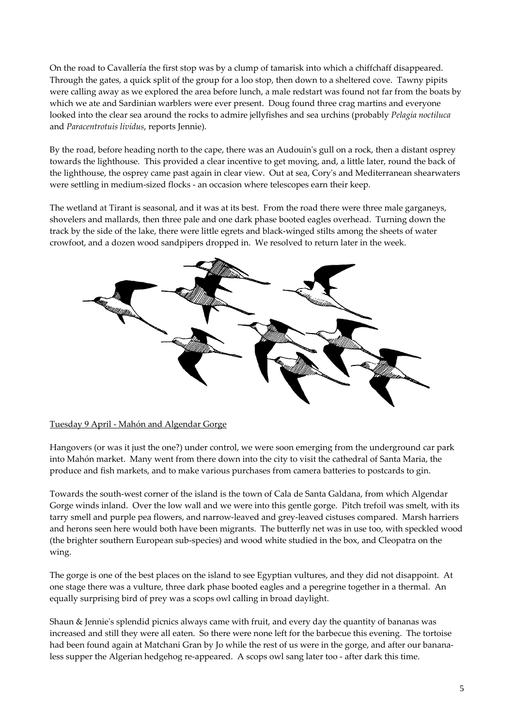On the road to Cavallería the first stop was by a clump of tamarisk into which a chiffchaff disappeared. Through the gates, a quick split of the group for a loo stop, then down to a sheltered cove. Tawny pipits were calling away as we explored the area before lunch, a male redstart was found not far from the boats by which we ate and Sardinian warblers were ever present. Doug found three crag martins and everyone looked into the clear sea around the rocks to admire jellyfishes and sea urchins (probably *Pelagia noctiluca* and *Paracentrotuis lividus*, reports Jennie).

By the road, before heading north to the cape, there was an Audouinʹs gull on a rock, then a distant osprey towards the lighthouse. This provided a clear incentive to get moving, and, a little later, round the back of the lighthouse, the osprey came past again in clear view. Out at sea, Coryʹs and Mediterranean shearwaters were settling in medium‐sized flocks ‐ an occasion where telescopes earn their keep.

The wetland at Tirant is seasonal, and it was at its best. From the road there were three male garganeys, shovelers and mallards, then three pale and one dark phase booted eagles overhead. Turning down the track by the side of the lake, there were little egrets and black‐winged stilts among the sheets of water crowfoot, and a dozen wood sandpipers dropped in. We resolved to return later in the week.



#### Tuesday 9 April ‐ Mahón and Algendar Gorge

Hangovers (or was it just the one?) under control, we were soon emerging from the underground car park into Mahón market. Many went from there down into the city to visit the cathedral of Santa Maria, the produce and fish markets, and to make various purchases from camera batteries to postcards to gin.

Towards the south‐west corner of the island is the town of Cala de Santa Galdana, from which Algendar Gorge winds inland. Over the low wall and we were into this gentle gorge. Pitch trefoil was smelt, with its tarry smell and purple pea flowers, and narrow‐leaved and grey‐leaved cistuses compared. Marsh harriers and herons seen here would both have been migrants. The butterfly net was in use too, with speckled wood (the brighter southern European sub‐species) and wood white studied in the box, and Cleopatra on the wing.

The gorge is one of the best places on the island to see Egyptian vultures, and they did not disappoint. At one stage there was a vulture, three dark phase booted eagles and a peregrine together in a thermal. An equally surprising bird of prey was a scops owl calling in broad daylight.

Shaun & Jennieʹs splendid picnics always came with fruit, and every day the quantity of bananas was increased and still they were all eaten. So there were none left for the barbecue this evening. The tortoise had been found again at Matchani Gran by Jo while the rest of us were in the gorge, and after our banana‐ less supper the Algerian hedgehog re-appeared. A scops owl sang later too - after dark this time.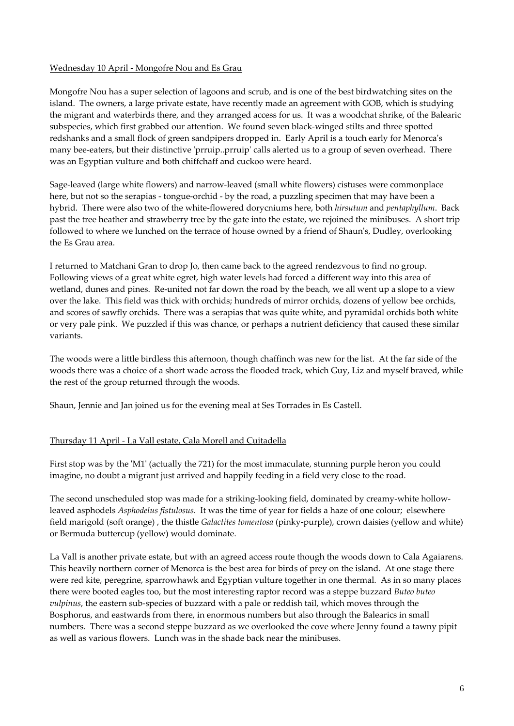# Wednesday 10 April ‐ Mongofre Nou and Es Grau

Mongofre Nou has a super selection of lagoons and scrub, and is one of the best birdwatching sites on the island. The owners, a large private estate, have recently made an agreement with GOB, which is studying the migrant and waterbirds there, and they arranged access for us. It was a woodchat shrike, of the Balearic subspecies, which first grabbed our attention. We found seven black‐winged stilts and three spotted redshanks and a small flock of green sandpipers dropped in. Early April is a touch early for Menorca's many bee-eaters, but their distinctive 'prruip..prruip' calls alerted us to a group of seven overhead. There was an Egyptian vulture and both chiffchaff and cuckoo were heard.

Sage-leaved (large white flowers) and narrow-leaved (small white flowers) cistuses were commonplace here, but not so the serapias - tongue-orchid - by the road, a puzzling specimen that may have been a hybrid. There were also two of the white‐flowered dorycniums here, both *hirsutum* and *pentaphyllum*. Back past the tree heather and strawberry tree by the gate into the estate, we rejoined the minibuses. A short trip followed to where we lunched on the terrace of house owned by a friend of Shaun's, Dudley, overlooking the Es Grau area.

I returned to Matchani Gran to drop Jo, then came back to the agreed rendezvous to find no group. Following views of a great white egret, high water levels had forced a different way into this area of wetland, dunes and pines. Re-united not far down the road by the beach, we all went up a slope to a view over the lake. This field was thick with orchids; hundreds of mirror orchids, dozens of yellow bee orchids, and scores of sawfly orchids. There was a serapias that was quite white, and pyramidal orchids both white or very pale pink. We puzzled if this was chance, or perhaps a nutrient deficiency that caused these similar variants.

The woods were a little birdless this afternoon, though chaffinch was new for the list. At the far side of the woods there was a choice of a short wade across the flooded track, which Guy, Liz and myself braved, while the rest of the group returned through the woods.

Shaun, Jennie and Jan joined us for the evening meal at Ses Torrades in Es Castell.

# Thursday 11 April ‐ La Vall estate, Cala Morell and Cuitadella

First stop was by the 'M1' (actually the 721) for the most immaculate, stunning purple heron you could imagine, no doubt a migrant just arrived and happily feeding in a field very close to the road.

The second unscheduled stop was made for a striking-looking field, dominated by creamy-white hollowleaved asphodels *Asphodelus fistulosus*. It was the time of year for fields a haze of one colour; elsewhere field marigold (soft orange) , the thistle *Galactites tomentosa* (pinky‐purple), crown daisies (yellow and white) or Bermuda buttercup (yellow) would dominate.

La Vall is another private estate, but with an agreed access route though the woods down to Cala Agaiarens. This heavily northern corner of Menorca is the best area for birds of prey on the island. At one stage there were red kite, peregrine, sparrowhawk and Egyptian vulture together in one thermal. As in so many places there were booted eagles too, but the most interesting raptor record was a steppe buzzard *Buteo buteo vulpinus*, the eastern sub‐species of buzzard with a pale or reddish tail, which moves through the Bosphorus, and eastwards from there, in enormous numbers but also through the Balearics in small numbers. There was a second steppe buzzard as we overlooked the cove where Jenny found a tawny pipit as well as various flowers. Lunch was in the shade back near the minibuses.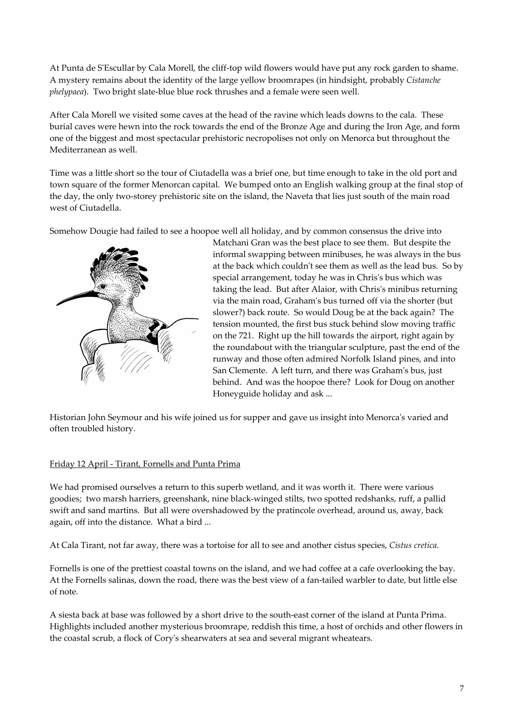At Punta de S'Escullar by Cala Morell, the cliff-top wild flowers would have put any rock garden to shame. A mystery remains about the identity of the large yellow broomrapes (in hindsight, probably *Cistanche phelypaea*). Two bright slate‐blue blue rock thrushes and a female were seen well.

After Cala Morell we visited some caves at the head of the ravine which leads downs to the cala. These burial caves were hewn into the rock towards the end of the Bronze Age and during the Iron Age, and form one of the biggest and most spectacular prehistoric necropolises not only on Menorca but throughout the Mediterranean as well.

Time was a little short so the tour of Ciutadella was a brief one, but time enough to take in the old port and town square of the former Menorcan capital. We bumped onto an English walking group at the final stop of the day, the only two-storey prehistoric site on the island, the Naveta that lies just south of the main road west of Ciutadella.

Somehow Dougie had failed to see a hoopoe well all holiday, and by common consensus the drive into



Matchani Gran was the best place to see them. But despite the informal swapping between minibuses, he was always in the bus at the back which couldn't see them as well as the lead bus. So by special arrangement, today he was in Chrisʹs bus which was taking the lead. But after Alaior, with Chris's minibus returning via the main road, Grahamʹs bus turned off via the shorter (but slower?) back route. So would Doug be at the back again? The tension mounted, the first bus stuck behind slow moving traffic on the 721. Right up the hill towards the airport, right again by the roundabout with the triangular sculpture, past the end of the runway and those often admired Norfolk Island pines, and into San Clemente. A left turn, and there was Grahamʹs bus, just behind. And was the hoopoe there? Look for Doug on another Honeyguide holiday and ask ...

Historian John Seymour and his wife joined us for supper and gave us insight into Menorca's varied and often troubled history.

#### Friday 12 April ‐ Tirant, Fornells and Punta Prima

We had promised ourselves a return to this superb wetland, and it was worth it. There were various goodies; two marsh harriers, greenshank, nine black‐winged stilts, two spotted redshanks, ruff, a pallid swift and sand martins. But all were overshadowed by the pratincole overhead, around us, away, back again, off into the distance. What a bird ...

At Cala Tirant, not far away, there was a tortoise for all to see and another cistus species, *Cistus cretica*.

Fornells is one of the prettiest coastal towns on the island, and we had coffee at a cafe overlooking the bay. At the Fornells salinas, down the road, there was the best view of a fan‐tailed warbler to date, but little else of note.

A siesta back at base was followed by a short drive to the south‐east corner of the island at Punta Prima. Highlights included another mysterious broomrape, reddish this time, a host of orchids and other flowers in the coastal scrub, a flock of Coryʹs shearwaters at sea and several migrant wheatears.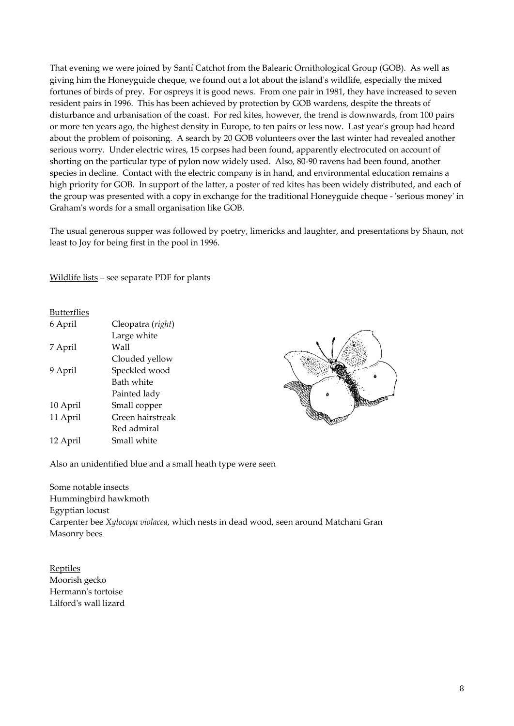That evening we were joined by Santí Catchot from the Balearic Ornithological Group (GOB). As well as giving him the Honeyguide cheque, we found out a lot about the islandʹs wildlife, especially the mixed fortunes of birds of prey. For ospreys it is good news. From one pair in 1981, they have increased to seven resident pairs in 1996. This has been achieved by protection by GOB wardens, despite the threats of disturbance and urbanisation of the coast. For red kites, however, the trend is downwards, from 100 pairs or more ten years ago, the highest density in Europe, to ten pairs or less now. Last yearʹs group had heard about the problem of poisoning. A search by 20 GOB volunteers over the last winter had revealed another serious worry. Under electric wires, 15 corpses had been found, apparently electrocuted on account of shorting on the particular type of pylon now widely used. Also, 80‐90 ravens had been found, another species in decline. Contact with the electric company is in hand, and environmental education remains a high priority for GOB. In support of the latter, a poster of red kites has been widely distributed, and each of the group was presented with a copy in exchange for the traditional Honeyguide cheque - 'serious money' in Grahamʹs words for a small organisation like GOB.

The usual generous supper was followed by poetry, limericks and laughter, and presentations by Shaun, not least to Joy for being first in the pool in 1996.

Wildlife lists – see separate PDF for plants

#### Butterflies

| 6 April  | Cleopatra (right) |
|----------|-------------------|
|          | Large white       |
| 7 April  | Wall              |
|          | Clouded yellow    |
| 9 April  | Speckled wood     |
|          | Bath white        |
|          | Painted lady      |
| 10 April | Small copper      |
| 11 April | Green hairstreak  |
|          | Red admiral       |
| 12 April | Small white       |



Also an unidentified blue and a small heath type were seen

Some notable insects Hummingbird hawkmoth Egyptian locust Carpenter bee *Xylocopa violacea*, which nests in dead wood, seen around Matchani Gran Masonry bees

Reptiles Moorish gecko Hermann's tortoise Lilfordʹs wall lizard